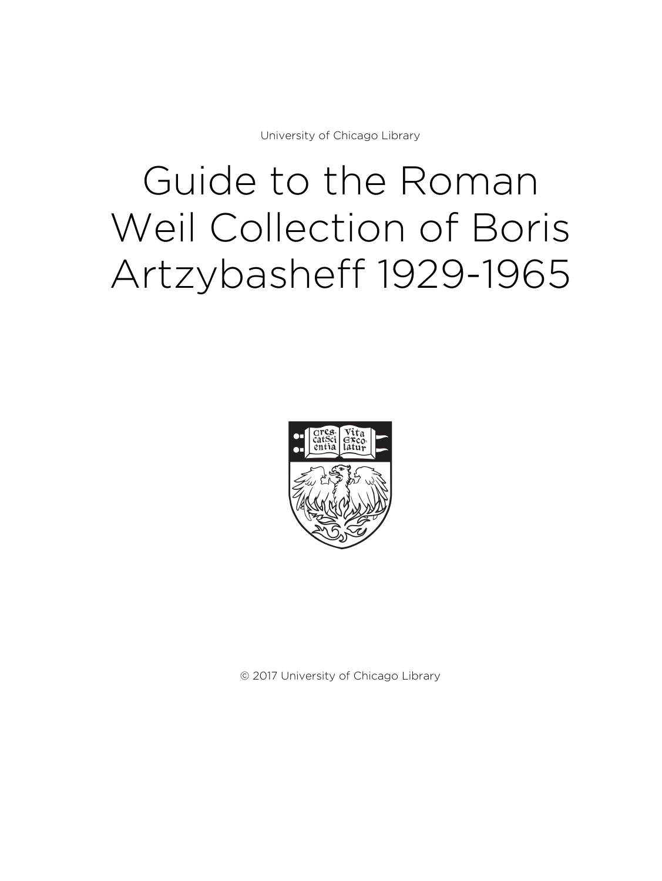University of Chicago Library

# Guide to the Roman Weil Collection of Boris Artzybasheff 1929-1965



© 2017 University of Chicago Library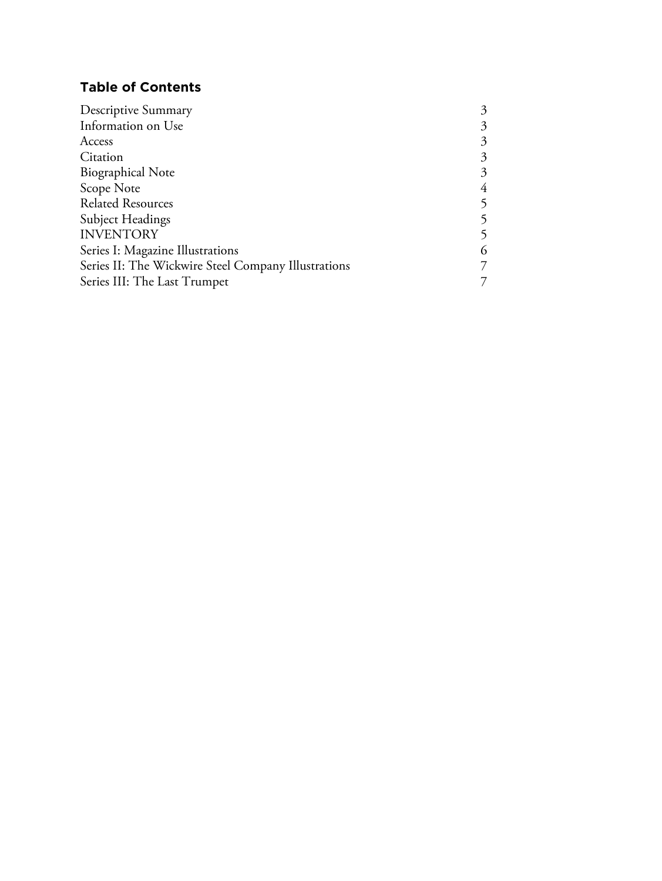# **Table of Contents**

| 3 |
|---|
| 3 |
| 3 |
| 3 |
| 3 |
| 4 |
|   |
|   |
| 5 |
| 6 |
|   |
|   |
|   |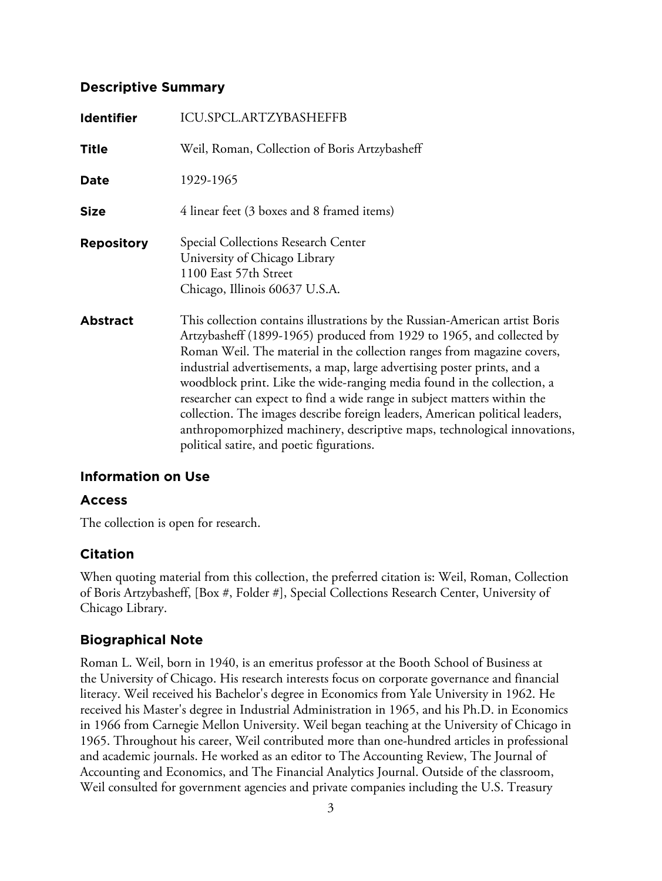### **Descriptive Summary**

| <b>Identifier</b> | <b>ICU.SPCL.ARTZYBASHEFFB</b>                                                                                                                                                                                                                                                                                                                                                                                                                                                                                                                                                                                                                                                |
|-------------------|------------------------------------------------------------------------------------------------------------------------------------------------------------------------------------------------------------------------------------------------------------------------------------------------------------------------------------------------------------------------------------------------------------------------------------------------------------------------------------------------------------------------------------------------------------------------------------------------------------------------------------------------------------------------------|
| <b>Title</b>      | Weil, Roman, Collection of Boris Artzybasheff                                                                                                                                                                                                                                                                                                                                                                                                                                                                                                                                                                                                                                |
| Date              | 1929-1965                                                                                                                                                                                                                                                                                                                                                                                                                                                                                                                                                                                                                                                                    |
| <b>Size</b>       | 4 linear feet (3 boxes and 8 framed items)                                                                                                                                                                                                                                                                                                                                                                                                                                                                                                                                                                                                                                   |
| <b>Repository</b> | Special Collections Research Center<br>University of Chicago Library<br>1100 East 57th Street<br>Chicago, Illinois 60637 U.S.A.                                                                                                                                                                                                                                                                                                                                                                                                                                                                                                                                              |
| <b>Abstract</b>   | This collection contains illustrations by the Russian-American artist Boris<br>Artzybasheff (1899-1965) produced from 1929 to 1965, and collected by<br>Roman Weil. The material in the collection ranges from magazine covers,<br>industrial advertisements, a map, large advertising poster prints, and a<br>woodblock print. Like the wide-ranging media found in the collection, a<br>researcher can expect to find a wide range in subject matters within the<br>collection. The images describe foreign leaders, American political leaders,<br>anthropomorphized machinery, descriptive maps, technological innovations,<br>political satire, and poetic figurations. |

# **Information on Use**

#### **Access**

The collection is open for research.

#### **Citation**

When quoting material from this collection, the preferred citation is: Weil, Roman, Collection of Boris Artzybasheff, [Box #, Folder #], Special Collections Research Center, University of Chicago Library.

# **Biographical Note**

Roman L. Weil, born in 1940, is an emeritus professor at the Booth School of Business at the University of Chicago. His research interests focus on corporate governance and financial literacy. Weil received his Bachelor's degree in Economics from Yale University in 1962. He received his Master's degree in Industrial Administration in 1965, and his Ph.D. in Economics in 1966 from Carnegie Mellon University. Weil began teaching at the University of Chicago in 1965. Throughout his career, Weil contributed more than one-hundred articles in professional and academic journals. He worked as an editor to The Accounting Review, The Journal of Accounting and Economics, and The Financial Analytics Journal. Outside of the classroom, Weil consulted for government agencies and private companies including the U.S. Treasury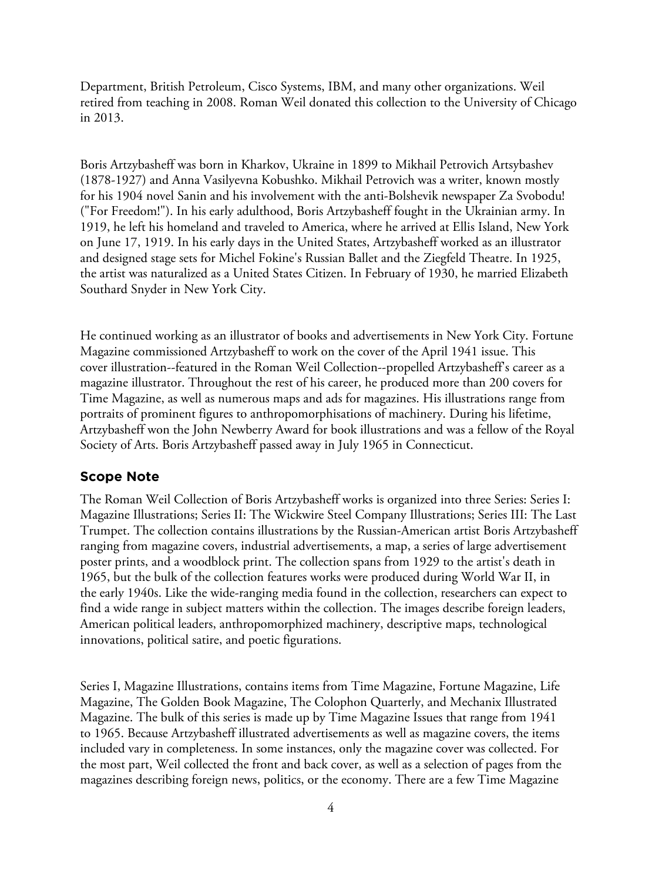Department, British Petroleum, Cisco Systems, IBM, and many other organizations. Weil retired from teaching in 2008. Roman Weil donated this collection to the University of Chicago in 2013.

Boris Artzybasheff was born in Kharkov, Ukraine in 1899 to Mikhail Petrovich Artsybashev (1878-1927) and Anna Vasilyevna Kobushko. Mikhail Petrovich was a writer, known mostly for his 1904 novel Sanin and his involvement with the anti-Bolshevik newspaper Za Svobodu! ("For Freedom!"). In his early adulthood, Boris Artzybasheff fought in the Ukrainian army. In 1919, he left his homeland and traveled to America, where he arrived at Ellis Island, New York on June 17, 1919. In his early days in the United States, Artzybasheff worked as an illustrator and designed stage sets for Michel Fokine's Russian Ballet and the Ziegfeld Theatre. In 1925, the artist was naturalized as a United States Citizen. In February of 1930, he married Elizabeth Southard Snyder in New York City.

He continued working as an illustrator of books and advertisements in New York City. Fortune Magazine commissioned Artzybasheff to work on the cover of the April 1941 issue. This cover illustration--featured in the Roman Weil Collection--propelled Artzybasheff's career as a magazine illustrator. Throughout the rest of his career, he produced more than 200 covers for Time Magazine, as well as numerous maps and ads for magazines. His illustrations range from portraits of prominent figures to anthropomorphisations of machinery. During his lifetime, Artzybasheff won the John Newberry Award for book illustrations and was a fellow of the Royal Society of Arts. Boris Artzybasheff passed away in July 1965 in Connecticut.

#### **Scope Note**

The Roman Weil Collection of Boris Artzybasheff works is organized into three Series: Series I: Magazine Illustrations; Series II: The Wickwire Steel Company Illustrations; Series III: The Last Trumpet. The collection contains illustrations by the Russian-American artist Boris Artzybasheff ranging from magazine covers, industrial advertisements, a map, a series of large advertisement poster prints, and a woodblock print. The collection spans from 1929 to the artist's death in 1965, but the bulk of the collection features works were produced during World War II, in the early 1940s. Like the wide-ranging media found in the collection, researchers can expect to find a wide range in subject matters within the collection. The images describe foreign leaders, American political leaders, anthropomorphized machinery, descriptive maps, technological innovations, political satire, and poetic figurations.

Series I, Magazine Illustrations, contains items from Time Magazine, Fortune Magazine, Life Magazine, The Golden Book Magazine, The Colophon Quarterly, and Mechanix Illustrated Magazine. The bulk of this series is made up by Time Magazine Issues that range from 1941 to 1965. Because Artzybasheff illustrated advertisements as well as magazine covers, the items included vary in completeness. In some instances, only the magazine cover was collected. For the most part, Weil collected the front and back cover, as well as a selection of pages from the magazines describing foreign news, politics, or the economy. There are a few Time Magazine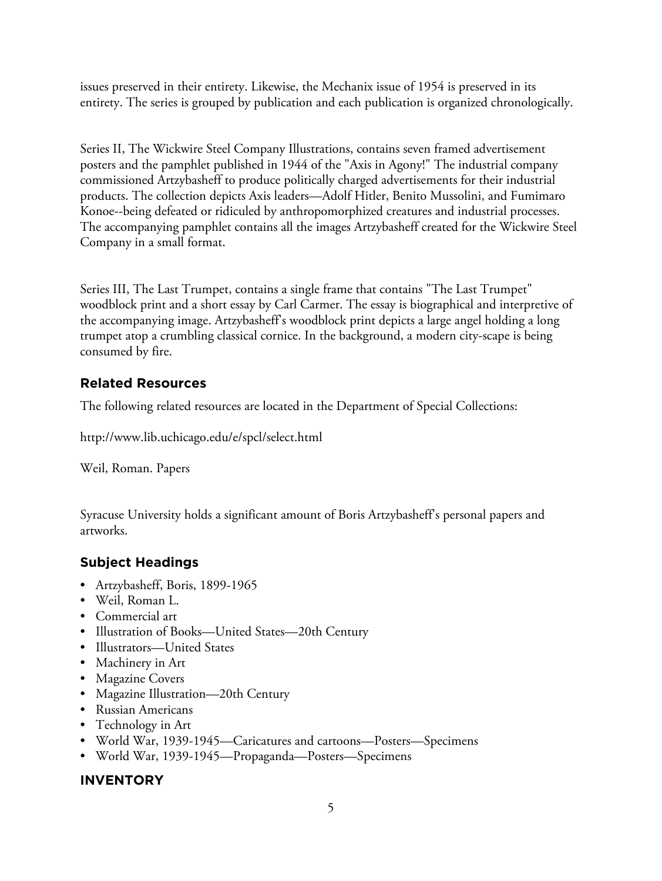issues preserved in their entirety. Likewise, the Mechanix issue of 1954 is preserved in its entirety. The series is grouped by publication and each publication is organized chronologically.

Series II, The Wickwire Steel Company Illustrations, contains seven framed advertisement posters and the pamphlet published in 1944 of the "Axis in Agony!" The industrial company commissioned Artzybasheff to produce politically charged advertisements for their industrial products. The collection depicts Axis leaders—Adolf Hitler, Benito Mussolini, and Fumimaro Konoe--being defeated or ridiculed by anthropomorphized creatures and industrial processes. The accompanying pamphlet contains all the images Artzybasheff created for the Wickwire Steel Company in a small format.

Series III, The Last Trumpet, contains a single frame that contains "The Last Trumpet" woodblock print and a short essay by Carl Carmer. The essay is biographical and interpretive of the accompanying image. Artzybasheff's woodblock print depicts a large angel holding a long trumpet atop a crumbling classical cornice. In the background, a modern city-scape is being consumed by fire.

# **Related Resources**

The following related resources are located in the Department of Special Collections:

http://www.lib.uchicago.edu/e/spcl/select.html

Weil, Roman. Papers

Syracuse University holds a significant amount of Boris Artzybasheff's personal papers and artworks.

# **Subject Headings**

- Artzybasheff, Boris, 1899-1965
- Weil, Roman L.
- Commercial art
- Illustration of Books—United States—20th Century
- Illustrators—United States
- Machinery in Art
- Magazine Covers
- Magazine Illustration—20th Century
- Russian Americans
- Technology in Art
- World War, 1939-1945—Caricatures and cartoons—Posters—Specimens
- World War, 1939-1945—Propaganda—Posters—Specimens

# **INVENTORY**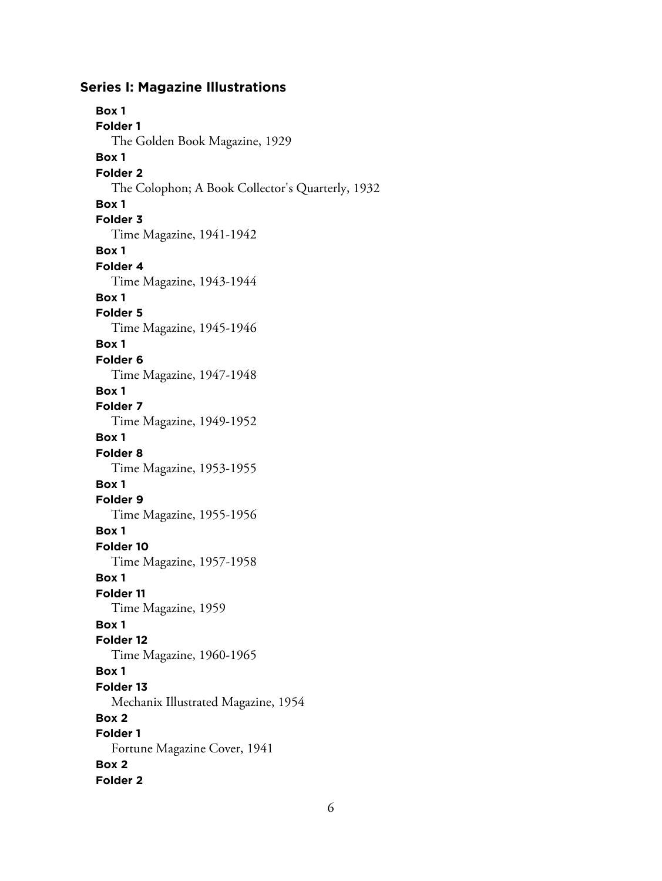#### **Series I: Magazine Illustrations**

**Box 1 Folder 1** The Golden Book Magazine, 1929 **Box 1 Folder 2** The Colophon; A Book Collector's Quarterly, 1932 **Box 1 Folder 3** Time Magazine, 1941-1942 **Box 1 Folder 4** Time Magazine, 1943-1944 **Box 1 Folder 5** Time Magazine, 1945-1946 **Box 1 Folder 6** Time Magazine, 1947-1948 **Box 1 Folder 7** Time Magazine, 1949-1952 **Box 1 Folder 8** Time Magazine, 1953-1955 **Box 1 Folder 9** Time Magazine, 1955-1956 **Box 1 Folder 10** Time Magazine, 1957-1958 **Box 1 Folder 11** Time Magazine, 1959 **Box 1 Folder 12** Time Magazine, 1960-1965 **Box 1 Folder 13** Mechanix Illustrated Magazine, 1954 **Box 2 Folder 1** Fortune Magazine Cover, 1941 **Box 2 Folder 2**